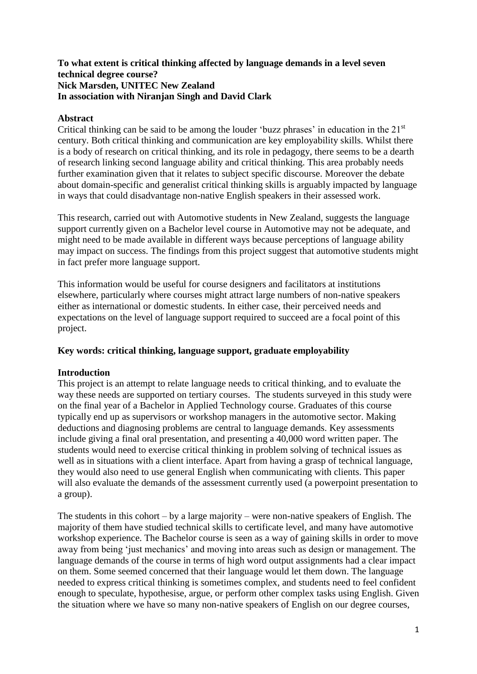### **To what extent is critical thinking affected by language demands in a level seven technical degree course? Nick Marsden, UNITEC New Zealand In association with Niranjan Singh and David Clark**

# **Abstract**

Critical thinking can be said to be among the louder 'buzz phrases' in education in the 21<sup>st</sup> century. Both critical thinking and communication are key employability skills. Whilst there is a body of research on critical thinking, and its role in pedagogy, there seems to be a dearth of research linking second language ability and critical thinking. This area probably needs further examination given that it relates to subject specific discourse. Moreover the debate about domain-specific and generalist critical thinking skills is arguably impacted by language in ways that could disadvantage non-native English speakers in their assessed work.

This research, carried out with Automotive students in New Zealand, suggests the language support currently given on a Bachelor level course in Automotive may not be adequate, and might need to be made available in different ways because perceptions of language ability may impact on success. The findings from this project suggest that automotive students might in fact prefer more language support.

This information would be useful for course designers and facilitators at institutions elsewhere, particularly where courses might attract large numbers of non-native speakers either as international or domestic students. In either case, their perceived needs and expectations on the level of language support required to succeed are a focal point of this project.

# **Key words: critical thinking, language support, graduate employability**

# **Introduction**

This project is an attempt to relate language needs to critical thinking, and to evaluate the way these needs are supported on tertiary courses. The students surveyed in this study were on the final year of a Bachelor in Applied Technology course. Graduates of this course typically end up as supervisors or workshop managers in the automotive sector. Making deductions and diagnosing problems are central to language demands. Key assessments include giving a final oral presentation, and presenting a 40,000 word written paper. The students would need to exercise critical thinking in problem solving of technical issues as well as in situations with a client interface. Apart from having a grasp of technical language, they would also need to use general English when communicating with clients. This paper will also evaluate the demands of the assessment currently used (a powerpoint presentation to a group).

The students in this cohort – by a large majority – were non-native speakers of English. The majority of them have studied technical skills to certificate level, and many have automotive workshop experience. The Bachelor course is seen as a way of gaining skills in order to move away from being 'just mechanics' and moving into areas such as design or management. The language demands of the course in terms of high word output assignments had a clear impact on them. Some seemed concerned that their language would let them down. The language needed to express critical thinking is sometimes complex, and students need to feel confident enough to speculate, hypothesise, argue, or perform other complex tasks using English. Given the situation where we have so many non-native speakers of English on our degree courses,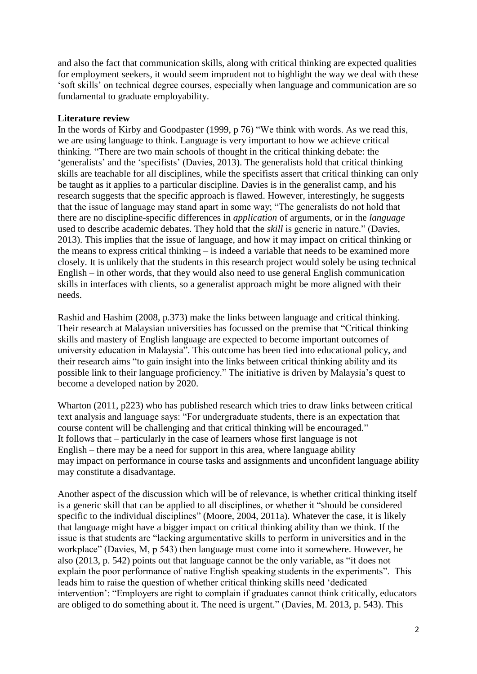and also the fact that communication skills, along with critical thinking are expected qualities for employment seekers, it would seem imprudent not to highlight the way we deal with these 'soft skills' on technical degree courses, especially when language and communication are so fundamental to graduate employability.

### **Literature review**

In the words of Kirby and Goodpaster (1999, p 76) "We think with words. As we read this, we are using language to think. Language is very important to how we achieve critical thinking. "There are two main schools of thought in the critical thinking debate: the 'generalists' and the 'specifists' (Davies, 2013). The generalists hold that critical thinking skills are teachable for all disciplines, while the specifists assert that critical thinking can only be taught as it applies to a particular discipline. Davies is in the generalist camp, and his research suggests that the specific approach is flawed. However, interestingly, he suggests that the issue of language may stand apart in some way; "The generalists do not hold that there are no discipline-specific differences in *application* of arguments, or in the *language* used to describe academic debates. They hold that the *skill* is generic in nature." (Davies, 2013). This implies that the issue of language, and how it may impact on critical thinking or the means to express critical thinking – is indeed a variable that needs to be examined more closely. It is unlikely that the students in this research project would solely be using technical English – in other words, that they would also need to use general English communication skills in interfaces with clients, so a generalist approach might be more aligned with their needs.

Rashid and Hashim (2008, p.373) make the links between language and critical thinking. Their research at Malaysian universities has focussed on the premise that "Critical thinking skills and mastery of English language are expected to become important outcomes of university education in Malaysia". This outcome has been tied into educational policy, and their research aims "to gain insight into the links between critical thinking ability and its possible link to their language proficiency." The initiative is driven by Malaysia's quest to become a developed nation by 2020.

Wharton (2011, p223) who has published research which tries to draw links between critical text analysis and language says: "For undergraduate students, there is an expectation that course content will be challenging and that critical thinking will be encouraged." It follows that – particularly in the case of learners whose first language is not English – there may be a need for support in this area, where language ability may impact on performance in course tasks and assignments and unconfident language ability may constitute a disadvantage.

Another aspect of the discussion which will be of relevance, is whether critical thinking itself is a generic skill that can be applied to all disciplines, or whether it "should be considered specific to the individual disciplines" (Moore, 2004, 2011a). Whatever the case, it is likely that language might have a bigger impact on critical thinking ability than we think. If the issue is that students are "lacking argumentative skills to perform in universities and in the workplace" (Davies, M, p 543) then language must come into it somewhere. However, he also (2013, p. 542) points out that language cannot be the only variable, as "it does not explain the poor performance of native English speaking students in the experiments". This leads him to raise the question of whether critical thinking skills need 'dedicated intervention': "Employers are right to complain if graduates cannot think critically, educators are obliged to do something about it. The need is urgent." (Davies, M. 2013, p. 543). This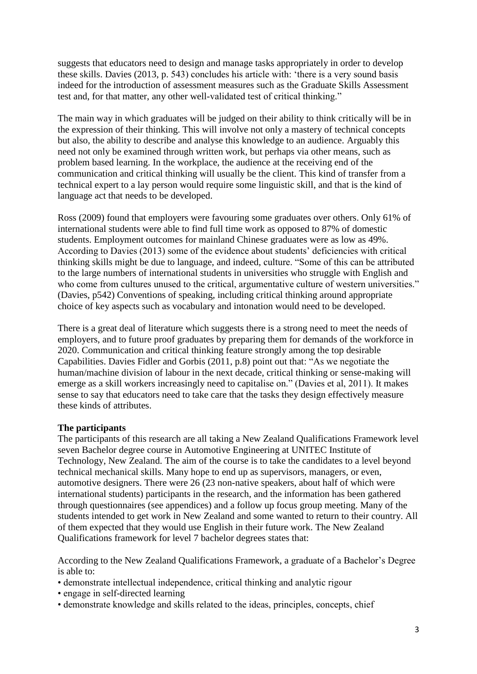suggests that educators need to design and manage tasks appropriately in order to develop these skills. Davies (2013, p. 543) concludes his article with: 'there is a very sound basis indeed for the introduction of assessment measures such as the Graduate Skills Assessment test and, for that matter, any other well-validated test of critical thinking."

The main way in which graduates will be judged on their ability to think critically will be in the expression of their thinking. This will involve not only a mastery of technical concepts but also, the ability to describe and analyse this knowledge to an audience. Arguably this need not only be examined through written work, but perhaps via other means, such as problem based learning. In the workplace, the audience at the receiving end of the communication and critical thinking will usually be the client. This kind of transfer from a technical expert to a lay person would require some linguistic skill, and that is the kind of language act that needs to be developed.

Ross (2009) found that employers were favouring some graduates over others. Only 61% of international students were able to find full time work as opposed to 87% of domestic students. Employment outcomes for mainland Chinese graduates were as low as 49%. According to Davies (2013) some of the evidence about students' deficiencies with critical thinking skills might be due to language, and indeed, culture. "Some of this can be attributed to the large numbers of international students in universities who struggle with English and who come from cultures unused to the critical, argumentative culture of western universities." (Davies, p542) Conventions of speaking, including critical thinking around appropriate choice of key aspects such as vocabulary and intonation would need to be developed.

There is a great deal of literature which suggests there is a strong need to meet the needs of employers, and to future proof graduates by preparing them for demands of the workforce in 2020. Communication and critical thinking feature strongly among the top desirable Capabilities. Davies Fidler and Gorbis (2011, p.8) point out that: "As we negotiate the human/machine division of labour in the next decade, critical thinking or sense-making will emerge as a skill workers increasingly need to capitalise on." (Davies et al, 2011). It makes sense to say that educators need to take care that the tasks they design effectively measure these kinds of attributes.

### **The participants**

The participants of this research are all taking a New Zealand Qualifications Framework level seven Bachelor degree course in Automotive Engineering at UNITEC Institute of Technology, New Zealand. The aim of the course is to take the candidates to a level beyond technical mechanical skills. Many hope to end up as supervisors, managers, or even, automotive designers. There were 26 (23 non-native speakers, about half of which were international students) participants in the research, and the information has been gathered through questionnaires (see appendices) and a follow up focus group meeting. Many of the students intended to get work in New Zealand and some wanted to return to their country. All of them expected that they would use English in their future work. The New Zealand Qualifications framework for level 7 bachelor degrees states that:

According to the New Zealand Qualifications Framework, a graduate of a Bachelor's Degree is able to:

- demonstrate intellectual independence, critical thinking and analytic rigour
- engage in self-directed learning
- demonstrate knowledge and skills related to the ideas, principles, concepts, chief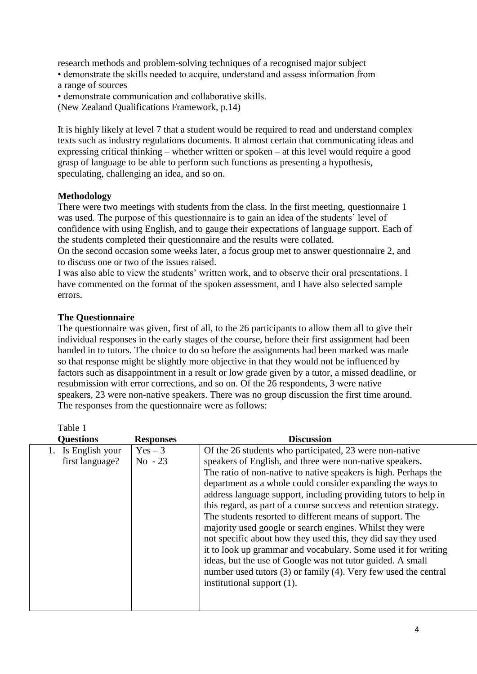research methods and problem-solving techniques of a recognised major subject • demonstrate the skills needed to acquire, understand and assess information from a range of sources

• demonstrate communication and collaborative skills. (New Zealand Qualifications Framework, p.14)

It is highly likely at level 7 that a student would be required to read and understand complex texts such as industry regulations documents. It almost certain that communicating ideas and expressing critical thinking – whether written or spoken – at this level would require a good grasp of language to be able to perform such functions as presenting a hypothesis, speculating, challenging an idea, and so on.

# **Methodology**

There were two meetings with students from the class. In the first meeting, questionnaire 1 was used. The purpose of this questionnaire is to gain an idea of the students' level of confidence with using English, and to gauge their expectations of language support. Each of the students completed their questionnaire and the results were collated.

On the second occasion some weeks later, a focus group met to answer questionnaire 2, and to discuss one or two of the issues raised.

I was also able to view the students' written work, and to observe their oral presentations. I have commented on the format of the spoken assessment, and I have also selected sample errors.

### **The Questionnaire**

The questionnaire was given, first of all, to the 26 participants to allow them all to give their individual responses in the early stages of the course, before their first assignment had been handed in to tutors. The choice to do so before the assignments had been marked was made so that response might be slightly more objective in that they would not be influenced by factors such as disappointment in a result or low grade given by a tutor, a missed deadline, or resubmission with error corrections, and so on. Of the 26 respondents, 3 were native speakers, 23 were non-native speakers. There was no group discussion the first time around. The responses from the questionnaire were as follows:

| Table 1                               |                      |                                                                                                                                                                                                                                                                                                                                                                                                                                                                                                                                                                                                                                                                                                                                                                                                                          |
|---------------------------------------|----------------------|--------------------------------------------------------------------------------------------------------------------------------------------------------------------------------------------------------------------------------------------------------------------------------------------------------------------------------------------------------------------------------------------------------------------------------------------------------------------------------------------------------------------------------------------------------------------------------------------------------------------------------------------------------------------------------------------------------------------------------------------------------------------------------------------------------------------------|
| <b>Questions</b>                      | <b>Responses</b>     | <b>Discussion</b>                                                                                                                                                                                                                                                                                                                                                                                                                                                                                                                                                                                                                                                                                                                                                                                                        |
| 1. Is English your<br>first language? | $Yes-3$<br>$No - 23$ | Of the 26 students who participated, 23 were non-native<br>speakers of English, and three were non-native speakers.<br>The ratio of non-native to native speakers is high. Perhaps the<br>department as a whole could consider expanding the ways to<br>address language support, including providing tutors to help in<br>this regard, as part of a course success and retention strategy.<br>The students resorted to different means of support. The<br>majority used google or search engines. Whilst they were<br>not specific about how they used this, they did say they used<br>it to look up grammar and vocabulary. Some used it for writing<br>ideas, but the use of Google was not tutor guided. A small<br>number used tutors (3) or family (4). Very few used the central<br>institutional support $(1)$ . |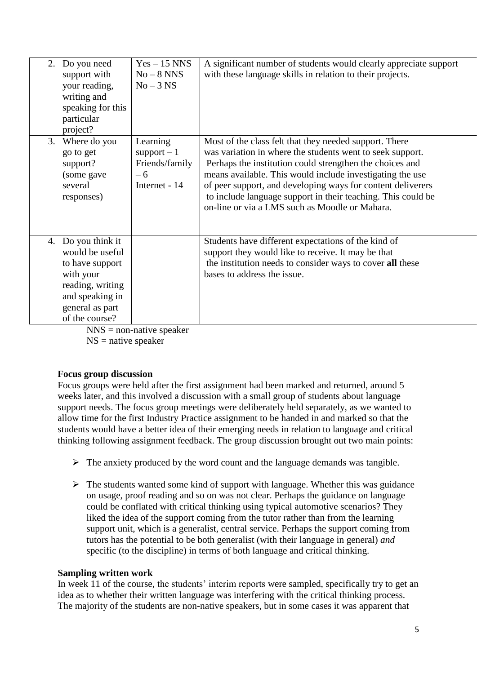|    | 2. Do you need<br>support with<br>your reading,<br>writing and<br>speaking for this<br>particular<br>project?                                                     | $Yes - 15 NNS$<br>$No-8 NNS$<br>$No-3 NS$                           | A significant number of students would clearly appreciate support<br>with these language skills in relation to their projects.                                                                                                                                                                                                                                                                                                |
|----|-------------------------------------------------------------------------------------------------------------------------------------------------------------------|---------------------------------------------------------------------|-------------------------------------------------------------------------------------------------------------------------------------------------------------------------------------------------------------------------------------------------------------------------------------------------------------------------------------------------------------------------------------------------------------------------------|
| 3. | Where do you<br>go to get<br>support?<br>(some gave<br>several<br>responses)                                                                                      | Learning<br>support $-1$<br>Friends/family<br>$-6$<br>Internet - 14 | Most of the class felt that they needed support. There<br>was variation in where the students went to seek support.<br>Perhaps the institution could strengthen the choices and<br>means available. This would include investigating the use<br>of peer support, and developing ways for content deliverers<br>to include language support in their teaching. This could be<br>on-line or via a LMS such as Moodle or Mahara. |
|    | 4. Do you think it<br>would be useful<br>to have support<br>with your<br>reading, writing<br>and speaking in<br>general as part<br>of the course?<br><b>NTNTC</b> | $-1-1$                                                              | Students have different expectations of the kind of<br>support they would like to receive. It may be that<br>the institution needs to consider ways to cover all these<br>bases to address the issue.                                                                                                                                                                                                                         |

 $NNS =$  non-native speaker  $NS =$  native speaker

# **Focus group discussion**

Focus groups were held after the first assignment had been marked and returned, around 5 weeks later, and this involved a discussion with a small group of students about language support needs. The focus group meetings were deliberately held separately, as we wanted to allow time for the first Industry Practice assignment to be handed in and marked so that the students would have a better idea of their emerging needs in relation to language and critical thinking following assignment feedback. The group discussion brought out two main points:

- $\triangleright$  The anxiety produced by the word count and the language demands was tangible.
- $\triangleright$  The students wanted some kind of support with language. Whether this was guidance on usage, proof reading and so on was not clear. Perhaps the guidance on language could be conflated with critical thinking using typical automotive scenarios? They liked the idea of the support coming from the tutor rather than from the learning support unit, which is a generalist, central service. Perhaps the support coming from tutors has the potential to be both generalist (with their language in general) *and*  specific (to the discipline) in terms of both language and critical thinking.

### **Sampling written work**

In week 11 of the course, the students' interim reports were sampled, specifically try to get an idea as to whether their written language was interfering with the critical thinking process. The majority of the students are non-native speakers, but in some cases it was apparent that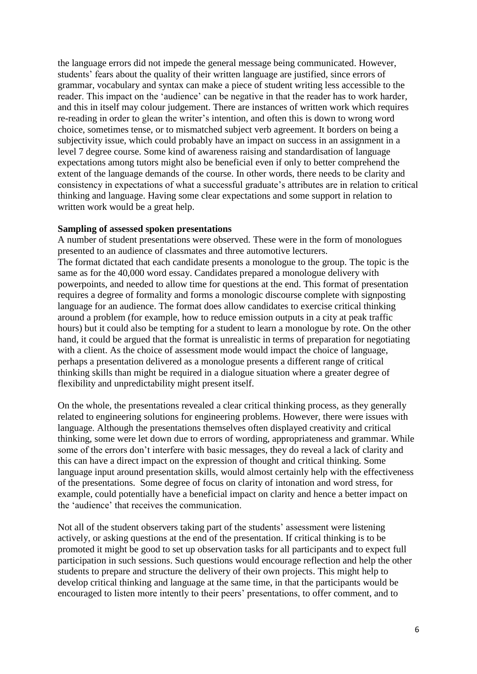the language errors did not impede the general message being communicated. However, students' fears about the quality of their written language are justified, since errors of grammar, vocabulary and syntax can make a piece of student writing less accessible to the reader. This impact on the 'audience' can be negative in that the reader has to work harder, and this in itself may colour judgement. There are instances of written work which requires re-reading in order to glean the writer's intention, and often this is down to wrong word choice, sometimes tense, or to mismatched subject verb agreement. It borders on being a subjectivity issue, which could probably have an impact on success in an assignment in a level 7 degree course. Some kind of awareness raising and standardisation of language expectations among tutors might also be beneficial even if only to better comprehend the extent of the language demands of the course. In other words, there needs to be clarity and consistency in expectations of what a successful graduate's attributes are in relation to critical thinking and language. Having some clear expectations and some support in relation to written work would be a great help.

#### **Sampling of assessed spoken presentations**

A number of student presentations were observed. These were in the form of monologues presented to an audience of classmates and three automotive lecturers. The format dictated that each candidate presents a monologue to the group. The topic is the same as for the 40,000 word essay. Candidates prepared a monologue delivery with powerpoints, and needed to allow time for questions at the end. This format of presentation requires a degree of formality and forms a monologic discourse complete with signposting language for an audience. The format does allow candidates to exercise critical thinking around a problem (for example, how to reduce emission outputs in a city at peak traffic hours) but it could also be tempting for a student to learn a monologue by rote. On the other hand, it could be argued that the format is unrealistic in terms of preparation for negotiating with a client. As the choice of assessment mode would impact the choice of language, perhaps a presentation delivered as a monologue presents a different range of critical thinking skills than might be required in a dialogue situation where a greater degree of flexibility and unpredictability might present itself.

On the whole, the presentations revealed a clear critical thinking process, as they generally related to engineering solutions for engineering problems. However, there were issues with language. Although the presentations themselves often displayed creativity and critical thinking, some were let down due to errors of wording, appropriateness and grammar. While some of the errors don't interfere with basic messages, they do reveal a lack of clarity and this can have a direct impact on the expression of thought and critical thinking. Some language input around presentation skills, would almost certainly help with the effectiveness of the presentations. Some degree of focus on clarity of intonation and word stress, for example, could potentially have a beneficial impact on clarity and hence a better impact on the 'audience' that receives the communication.

Not all of the student observers taking part of the students' assessment were listening actively, or asking questions at the end of the presentation. If critical thinking is to be promoted it might be good to set up observation tasks for all participants and to expect full participation in such sessions. Such questions would encourage reflection and help the other students to prepare and structure the delivery of their own projects. This might help to develop critical thinking and language at the same time, in that the participants would be encouraged to listen more intently to their peers' presentations, to offer comment, and to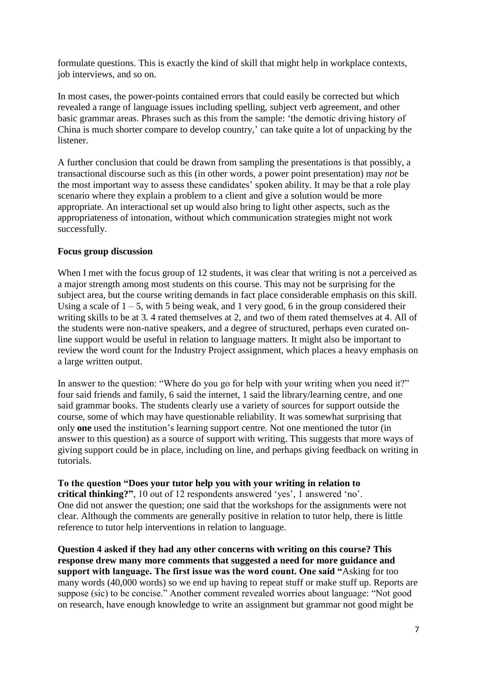formulate questions. This is exactly the kind of skill that might help in workplace contexts, job interviews, and so on.

In most cases, the power-points contained errors that could easily be corrected but which revealed a range of language issues including spelling, subject verb agreement, and other basic grammar areas. Phrases such as this from the sample: 'the demotic driving history of China is much shorter compare to develop country,' can take quite a lot of unpacking by the listener.

A further conclusion that could be drawn from sampling the presentations is that possibly, a transactional discourse such as this (in other words, a power point presentation) may *not* be the most important way to assess these candidates' spoken ability. It may be that a role play scenario where they explain a problem to a client and give a solution would be more appropriate. An interactional set up would also bring to light other aspects, such as the appropriateness of intonation, without which communication strategies might not work successfully.

# **Focus group discussion**

When I met with the focus group of 12 students, it was clear that writing is not a perceived as a major strength among most students on this course. This may not be surprising for the subject area, but the course writing demands in fact place considerable emphasis on this skill. Using a scale of  $1 - 5$ , with 5 being weak, and 1 very good, 6 in the group considered their writing skills to be at 3. 4 rated themselves at 2, and two of them rated themselves at 4. All of the students were non-native speakers, and a degree of structured, perhaps even curated online support would be useful in relation to language matters. It might also be important to review the word count for the Industry Project assignment, which places a heavy emphasis on a large written output.

In answer to the question: "Where do you go for help with your writing when you need it?" four said friends and family, 6 said the internet, 1 said the library/learning centre, and one said grammar books. The students clearly use a variety of sources for support outside the course, some of which may have questionable reliability. It was somewhat surprising that only **one** used the institution's learning support centre. Not one mentioned the tutor (in answer to this question) as a source of support with writing. This suggests that more ways of giving support could be in place, including on line, and perhaps giving feedback on writing in tutorials.

**To the question "Does your tutor help you with your writing in relation to critical thinking?"**, 10 out of 12 respondents answered 'yes', 1 answered 'no'. One did not answer the question; one said that the workshops for the assignments were not clear. Although the comments are generally positive in relation to tutor help, there is little reference to tutor help interventions in relation to language.

**Question 4 asked if they had any other concerns with writing on this course? This response drew many more comments that suggested a need for more guidance and support with language. The first issue was the word count. One said "**Asking for too many words (40,000 words) so we end up having to repeat stuff or make stuff up. Reports are suppose (sic) to be concise." Another comment revealed worries about language: "Not good on research, have enough knowledge to write an assignment but grammar not good might be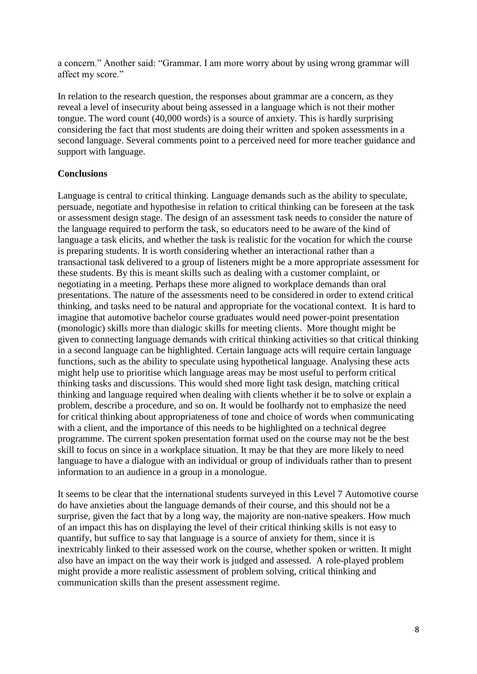a concern." Another said: "Grammar. I am more worry about by using wrong grammar will affect my score."

In relation to the research question, the responses about grammar are a concern, as they reveal a level of insecurity about being assessed in a language which is not their mother tongue. The word count (40,000 words) is a source of anxiety. This is hardly surprising considering the fact that most students are doing their written and spoken assessments in a second language. Several comments point to a perceived need for more teacher guidance and support with language.

### **Conclusions**

Language is central to critical thinking. Language demands such as the ability to speculate, persuade, negotiate and hypothesise in relation to critical thinking can be foreseen at the task or assessment design stage. The design of an assessment task needs to consider the nature of the language required to perform the task, so educators need to be aware of the kind of language a task elicits, and whether the task is realistic for the vocation for which the course is preparing students. It is worth considering whether an interactional rather than a transactional task delivered to a group of listeners might be a more appropriate assessment for these students. By this is meant skills such as dealing with a customer complaint, or negotiating in a meeting. Perhaps these more aligned to workplace demands than oral presentations. The nature of the assessments need to be considered in order to extend critical thinking, and tasks need to be natural and appropriate for the vocational context. It is hard to imagine that automotive bachelor course graduates would need power-point presentation (monologic) skills more than dialogic skills for meeting clients. More thought might be given to connecting language demands with critical thinking activities so that critical thinking in a second language can be highlighted. Certain language acts will require certain language functions, such as the ability to speculate using hypothetical language. Analysing these acts might help use to prioritise which language areas may be most useful to perform critical thinking tasks and discussions. This would shed more light task design, matching critical thinking and language required when dealing with clients whether it be to solve or explain a problem, describe a procedure, and so on. It would be foolhardy not to emphasize the need for critical thinking about appropriateness of tone and choice of words when communicating with a client, and the importance of this needs to be highlighted on a technical degree programme. The current spoken presentation format used on the course may not be the best skill to focus on since in a workplace situation. It may be that they are more likely to need language to have a dialogue with an individual or group of individuals rather than to present information to an audience in a group in a monologue.

It seems to be clear that the international students surveyed in this Level 7 Automotive course do have anxieties about the language demands of their course, and this should not be a surprise, given the fact that by a long way, the majority are non-native speakers. How much of an impact this has on displaying the level of their critical thinking skills is not easy to quantify, but suffice to say that language is a source of anxiety for them, since it is inextricably linked to their assessed work on the course, whether spoken or written. It might also have an impact on the way their work is judged and assessed. A role-played problem might provide a more realistic assessment of problem solving, critical thinking and communication skills than the present assessment regime.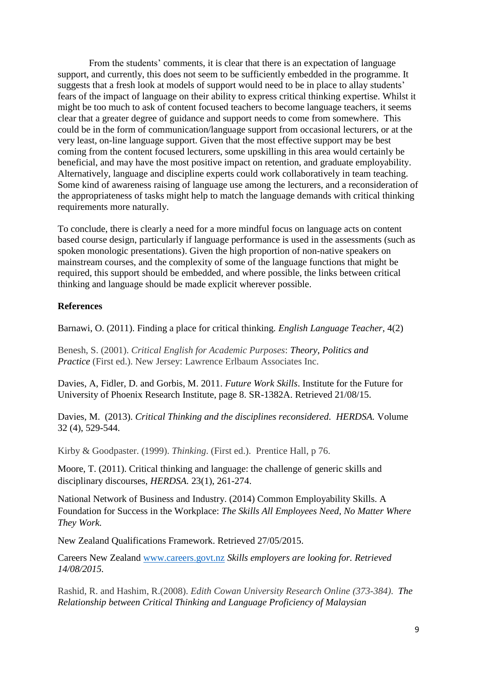From the students' comments, it is clear that there is an expectation of language support, and currently, this does not seem to be sufficiently embedded in the programme. It suggests that a fresh look at models of support would need to be in place to allay students' fears of the impact of language on their ability to express critical thinking expertise. Whilst it might be too much to ask of content focused teachers to become language teachers, it seems clear that a greater degree of guidance and support needs to come from somewhere. This could be in the form of communication/language support from occasional lecturers, or at the very least, on-line language support. Given that the most effective support may be best coming from the content focused lecturers, some upskilling in this area would certainly be beneficial, and may have the most positive impact on retention, and graduate employability. Alternatively, language and discipline experts could work collaboratively in team teaching. Some kind of awareness raising of language use among the lecturers, and a reconsideration of the appropriateness of tasks might help to match the language demands with critical thinking requirements more naturally.

To conclude, there is clearly a need for a more mindful focus on language acts on content based course design, particularly if language performance is used in the assessments (such as spoken monologic presentations). Given the high proportion of non-native speakers on mainstream courses, and the complexity of some of the language functions that might be required, this support should be embedded, and where possible, the links between critical thinking and language should be made explicit wherever possible.

# **References**

Barnawi, O. (2011). Finding a place for critical thinking*. English Language Teacher*, 4(2)

Benesh, S. (2001). *Critical English for Academic Purposes*: *Theory, Politics and Practice* (First ed.). New Jersey: Lawrence Erlbaum Associates Inc.

Davies, A, Fidler, D. and Gorbis, M. 2011. *Future Work Skills*. Institute for the Future for University of Phoenix Research Institute, page 8. SR-1382A. Retrieved 21/08/15.

Davies, M. (2013). *Critical Thinking and the disciplines reconsidered. HERDSA.* Volume 32 (4), 529-544.

Kirby & Goodpaster. (1999). *Thinking*. (First ed.). Prentice Hall, p 76.

Moore, T. (2011). Critical thinking and language: the challenge of generic skills and disciplinary discourses, *HERDSA.* 23(1), 261-274.

National Network of Business and Industry. (2014) Common Employability Skills. A Foundation for Success in the Workplace: *The Skills All Employees Need, No Matter Where They Work.*

New Zealand Qualifications Framework. Retrieved 27/05/2015.

Careers New Zealand [www.careers.govt.nz](http://www.careers.govt.nz/) *Skills employers are looking for. Retrieved 14/08/2015.*

Rashid, R. and Hashim, R.(2008). *Edith Cowan University Research Online (373-384)*. *The Relationship between Critical Thinking and Language Proficiency of Malaysian*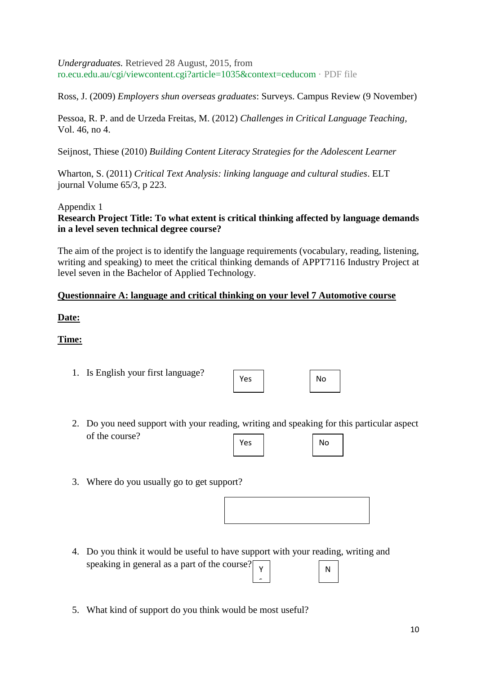*Undergraduates.* Retrieved 28 August, 2015, from ro.ecu.edu.au/cgi/viewcontent.cgi?article=1035&context=ceducom · PDF file

Ross, J. (2009) *Employers shun overseas graduates*: Surveys. Campus Review (9 November)

Pessoa, R. P. and de Urzeda Freitas, M. (2012) *Challenges in Critical Language Teaching*, Vol. 46, no 4.

Seijnost, Thiese (2010) *Building Content Literacy Strategies for the Adolescent Learner* 

Wharton, S. (2011) *Critical Text Analysis: linking language and cultural studies*. ELT journal Volume 65/3, p 223.

# Appendix 1

# **Research Project Title: To what extent is critical thinking affected by language demands in a level seven technical degree course?**

The aim of the project is to identify the language requirements (vocabulary, reading, listening, writing and speaking) to meet the critical thinking demands of APPT7116 Industry Project at level seven in the Bachelor of Applied Technology.

# **Questionnaire A: language and critical thinking on your level 7 Automotive course**

### **Date:**

# **Time:**

1. Is English your first language?

| Yes | No |
|-----|----|
|     |    |

- 2. Do you need support with your reading, writing and speaking for this particular aspect of the course? Yes No
- 3. Where do you usually go to get support?

4. Do you think it would be useful to have support with your reading, writing and speaking in general as a part of the course? Y N

s

5. What kind of support do you think would be most useful?